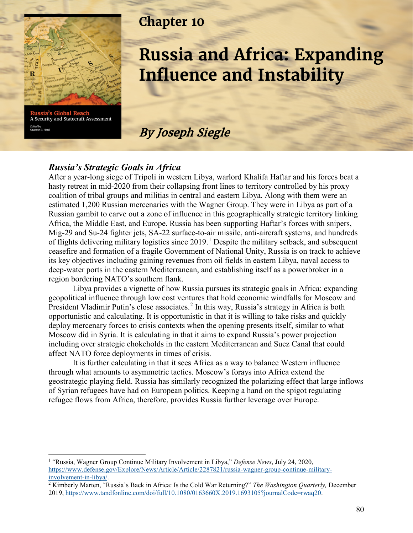

**Global B** A Security and Statecraft Assessment Edited by<br>Graeme P. Herd

# **Chapter 10**

# **Russia and Africa: Expanding Influence and Instability**

By Joseph Siegle

#### *Russia's Strategic Goals in Africa*

After a year-long siege of Tripoli in western Libya, warlord Khalifa Haftar and his forces beat a hasty retreat in mid-2020 from their collapsing front lines to territory controlled by his proxy coalition of tribal groups and militias in central and eastern Libya. Along with them were an estimated 1,200 Russian mercenaries with the Wagner Group. They were in Libya as part of a Russian gambit to carve out a zone of influence in this geographically strategic territory linking Africa, the Middle East, and Europe. Russia has been supporting Haftar's forces with snipers, Mig-29 and Su-24 fighter jets, SA-22 surface-to-air missile, anti-aircraft systems, and hundreds of flights delivering military logistics since 20[1](#page-0-0)9.<sup>1</sup> Despite the military setback, and subsequent ceasefire and formation of a fragile Government of National Unity, Russia is on track to achieve its key objectives including gaining revenues from oil fields in eastern Libya, naval access to deep-water ports in the eastern Mediterranean, and establishing itself as a powerbroker in a region bordering NATO's southern flank.

Libya provides a vignette of how Russia pursues its strategic goals in Africa: expanding geopolitical influence through low cost ventures that hold economic windfalls for Moscow and President Vladimir Putin's close associates.<sup>[2](#page-0-1)</sup> In this way, Russia's strategy in Africa is both opportunistic and calculating. It is opportunistic in that it is willing to take risks and quickly deploy mercenary forces to crisis contexts when the opening presents itself, similar to what Moscow did in Syria. It is calculating in that it aims to expand Russia's power projection including over strategic chokeholds in the eastern Mediterranean and Suez Canal that could affect NATO force deployments in times of crisis.

It is further calculating in that it sees Africa as a way to balance Western influence through what amounts to asymmetric tactics. Moscow's forays into Africa extend the geostrategic playing field. Russia has similarly recognized the polarizing effect that large inflows of Syrian refugees have had on European politics. Keeping a hand on the spigot regulating refugee flows from Africa, therefore, provides Russia further leverage over Europe.

<span id="page-0-0"></span><sup>1</sup> "Russia, Wagner Group Continue Military Involvement in Libya," *Defense News*, July 24, 2020, [https://www.defense.gov/Explore/News/Article/Article/2287821/russia-wagner-group-continue-military](https://www.defense.gov/Explore/News/Article/Article/2287821/russia-wagner-group-continue-military-involvement-in-libya/)[involvement-in-libya/.](https://www.defense.gov/Explore/News/Article/Article/2287821/russia-wagner-group-continue-military-involvement-in-libya/) 2 Kimberly Marten, "Russia's Back in Africa: Is the Cold War Returning?" *The Washington Quarterly,* December

<span id="page-0-1"></span><sup>2019,</sup> [https://www.tandfonline.com/doi/full/10.1080/0163660X.2019.1693105?journalCode=rwaq20.](https://www.tandfonline.com/doi/full/10.1080/0163660X.2019.1693105?journalCode=rwaq20)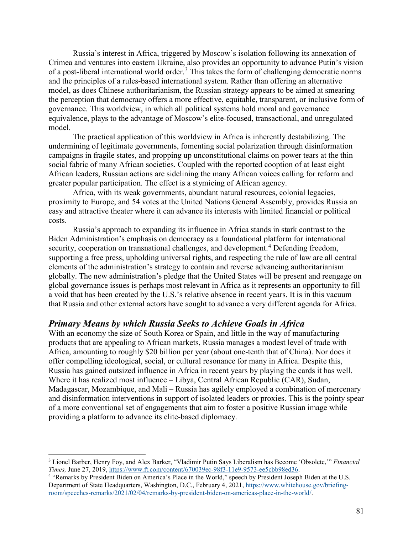Russia's interest in Africa, triggered by Moscow's isolation following its annexation of Crimea and ventures into eastern Ukraine, also provides an opportunity to advance Putin's vision of a post-liberal international world order.[3](#page-1-0) This takes the form of challenging democratic norms and the principles of a rules-based international system. Rather than offering an alternative model, as does Chinese authoritarianism, the Russian strategy appears to be aimed at smearing the perception that democracy offers a more effective, equitable, transparent, or inclusive form of governance. This worldview, in which all political systems hold moral and governance equivalence, plays to the advantage of Moscow's elite-focused, transactional, and unregulated model.

The practical application of this worldview in Africa is inherently destabilizing. The undermining of legitimate governments, fomenting social polarization through disinformation campaigns in fragile states, and propping up unconstitutional claims on power tears at the thin social fabric of many African societies. Coupled with the reported cooption of at least eight African leaders, Russian actions are sidelining the many African voices calling for reform and greater popular participation. The effect is a stymieing of African agency.

Africa, with its weak governments, abundant natural resources, colonial legacies, proximity to Europe, and 54 votes at the United Nations General Assembly, provides Russia an easy and attractive theater where it can advance its interests with limited financial or political costs.

Russia's approach to expanding its influence in Africa stands in stark contrast to the Biden Administration's emphasis on democracy as a foundational platform for international security, cooperation on transnational challenges, and development.<sup>[4](#page-1-1)</sup> Defending freedom, supporting a free press, upholding universal rights, and respecting the rule of law are all central elements of the administration's strategy to contain and reverse advancing authoritarianism globally. The new administration's pledge that the United States will be present and reengage on global governance issues is perhaps most relevant in Africa as it represents an opportunity to fill a void that has been created by the U.S.'s relative absence in recent years. It is in this vacuum that Russia and other external actors have sought to advance a very different agenda for Africa.

## *Primary Means by which Russia Seeks to Achieve Goals in Africa*

With an economy the size of South Korea or Spain, and little in the way of manufacturing products that are appealing to African markets, Russia manages a modest level of trade with Africa, amounting to roughly \$20 billion per year (about one-tenth that of China). Nor does it offer compelling ideological, social, or cultural resonance for many in Africa. Despite this, Russia has gained outsized influence in Africa in recent years by playing the cards it has well. Where it has realized most influence – Libya, Central African Republic (CAR), Sudan, Madagascar, Mozambique, and Mali – Russia has agilely employed a combination of mercenary and disinformation interventions in support of isolated leaders or proxies. This is the pointy spear of a more conventional set of engagements that aim to foster a positive Russian image while providing a platform to advance its elite-based diplomacy.

<span id="page-1-0"></span><sup>3</sup> Lionel Barber, Henry Foy, and Alex Barker, "Vladimir Putin Says Liberalism has Become 'Obsolete,'" *Financial Times, June 27, 2019[, https://www.ft.com/content/670039ec-98f3-11e9-9573-ee5cbb98ed36.](https://www.ft.com/content/670039ec-98f3-11e9-9573-ee5cbb98ed36)*<br><sup>4</sup> "Remarks by President Biden on America's Place in the World," speech by President Joseph Biden at the U.S.

<span id="page-1-1"></span>Department of State Headquarters, Washington, D.C., February 4, 2021, [https://www.whitehouse.gov/briefing](https://www.whitehouse.gov/briefing-room/speeches-remarks/2021/02/04/remarks-by-president-biden-on-americas-place-in-the-world/)[room/speeches-remarks/2021/02/04/remarks-by-president-biden-on-americas-place-in-the-world/.](https://www.whitehouse.gov/briefing-room/speeches-remarks/2021/02/04/remarks-by-president-biden-on-americas-place-in-the-world/)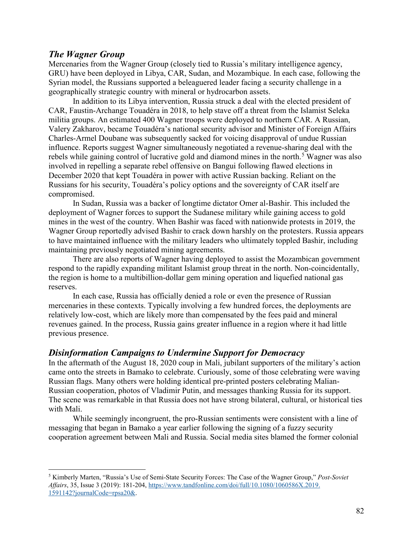#### *The Wagner Group*

Mercenaries from the Wagner Group (closely tied to Russia's military intelligence agency, GRU) have been deployed in Libya, CAR, Sudan, and Mozambique. In each case, following the Syrian model, the Russians supported a beleaguered leader facing a security challenge in a geographically strategic country with mineral or hydrocarbon assets.

In addition to its Libya intervention, Russia struck a deal with the elected president of CAR, Faustin-Archange Touadéra in 2018, to help stave off a threat from the Islamist Seleka militia groups. An estimated 400 Wagner troops were deployed to northern CAR. A Russian, Valery Zakharov, became Touadéra's national security advisor and Minister of Foreign Affairs Charles-Armel Doubane was subsequently sacked for voicing disapproval of undue Russian influence. Reports suggest Wagner simultaneously negotiated a revenue-sharing deal with the rebels while gaining control of lucrative gold and diamond mines in the north.<sup>[5](#page-2-0)</sup> Wagner was also involved in repelling a separate rebel offensive on Bangui following flawed elections in December 2020 that kept Touadéra in power with active Russian backing. Reliant on the Russians for his security, Touadéra's policy options and the sovereignty of CAR itself are compromised.

In Sudan, Russia was a backer of longtime dictator Omer al-Bashir. This included the deployment of Wagner forces to support the Sudanese military while gaining access to gold mines in the west of the country. When Bashir was faced with nationwide protests in 2019, the Wagner Group reportedly advised Bashir to crack down harshly on the protesters. Russia appears to have maintained influence with the military leaders who ultimately toppled Bashir, including maintaining previously negotiated mining agreements.

There are also reports of Wagner having deployed to assist the Mozambican government respond to the rapidly expanding militant Islamist group threat in the north. Non-coincidentally, the region is home to a multibillion-dollar gem mining operation and liquefied national gas reserves.

In each case, Russia has officially denied a role or even the presence of Russian mercenaries in these contexts. Typically involving a few hundred forces, the deployments are relatively low-cost, which are likely more than compensated by the fees paid and mineral revenues gained. In the process, Russia gains greater influence in a region where it had little previous presence.

#### *Disinformation Campaigns to Undermine Support for Democracy*

In the aftermath of the August 18, 2020 coup in Mali, jubilant supporters of the military's action came onto the streets in Bamako to celebrate. Curiously, some of those celebrating were waving Russian flags. Many others were holding identical pre-printed posters celebrating Malian-Russian cooperation, photos of Vladimir Putin, and messages thanking Russia for its support. The scene was remarkable in that Russia does not have strong bilateral, cultural, or historical ties with Mali.

While seemingly incongruent, the pro-Russian sentiments were consistent with a line of messaging that began in Bamako a year earlier following the signing of a fuzzy security cooperation agreement between Mali and Russia. Social media sites blamed the former colonial

<span id="page-2-0"></span><sup>5</sup> Kimberly Marten, "Russia's Use of Semi-State Security Forces: The Case of the Wagner Group," *Post-Soviet Affairs*, 35, Issue 3 (2019): 181-204, [https://www.tandfonline.com/doi/full/10.1080/1060586X.2019.](https://www.tandfonline.com/doi/full/10.1080/1060586X.2019.1591142?journalCode=rpsa20&) [1591142?journalCode=rpsa20&.](https://www.tandfonline.com/doi/full/10.1080/1060586X.2019.1591142?journalCode=rpsa20&)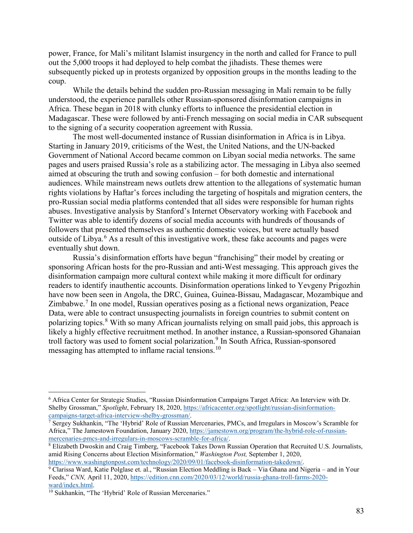power, France, for Mali's militant Islamist insurgency in the north and called for France to pull out the 5,000 troops it had deployed to help combat the jihadists. These themes were subsequently picked up in protests organized by opposition groups in the months leading to the coup.

While the details behind the sudden pro-Russian messaging in Mali remain to be fully understood, the experience parallels other Russian-sponsored disinformation campaigns in Africa. These began in 2018 with clunky efforts to influence the presidential election in Madagascar. These were followed by anti-French messaging on social media in CAR subsequent to the signing of a security cooperation agreement with Russia.

The most well-documented instance of Russian disinformation in Africa is in Libya. Starting in January 2019, criticisms of the West, the United Nations, and the UN-backed Government of National Accord became common on Libyan social media networks. The same pages and users praised Russia's role as a stabilizing actor. The messaging in Libya also seemed aimed at obscuring the truth and sowing confusion – for both domestic and international audiences. While mainstream news outlets drew attention to the allegations of systematic human rights violations by Haftar's forces including the targeting of hospitals and migration centers, the pro-Russian social media platforms contended that all sides were responsible for human rights abuses. Investigative analysis by Stanford's Internet Observatory working with Facebook and Twitter was able to identify dozens of social media accounts with hundreds of thousands of followers that presented themselves as authentic domestic voices, but were actually based outside of Libya.<sup>[6](#page-3-0)</sup> As a result of this investigative work, these fake accounts and pages were eventually shut down.

Russia's disinformation efforts have begun "franchising" their model by creating or sponsoring African hosts for the pro-Russian and anti-West messaging. This approach gives the disinformation campaign more cultural context while making it more difficult for ordinary readers to identify inauthentic accounts. Disinformation operations linked to Yevgeny Prigozhin have now been seen in Angola, the DRC, Guinea, Guinea-Bissau, Madagascar, Mozambique and Zimbabwe.<sup>[7](#page-3-1)</sup> In one model, Russian operatives posing as a fictional news organization, Peace Data, were able to contract unsuspecting journalists in foreign countries to submit content on polarizing topics.<sup>[8](#page-3-2)</sup> With so many African journalists relying on small paid jobs, this approach is likely a highly effective recruitment method. In another instance, a Russian-sponsored Ghanaian troll factory was used to foment social polarization.<sup>[9](#page-3-3)</sup> In South Africa, Russian-sponsored messaging has attempted to inflame racial tensions.<sup>[10](#page-3-4)</sup>

<span id="page-3-0"></span><sup>6</sup> Africa Center for Strategic Studies, "Russian Disinformation Campaigns Target Africa: An Interview with Dr. Shelby Grossman," *Spotlight*, February 18, 2020, [https://africacenter.org/spotlight/russian-disinformation](https://africacenter.org/spotlight/russian-disinformation-campaigns-target-africa-interview-shelby-grossman/)[campaigns-target-africa-interview-shelby-grossman/.](https://africacenter.org/spotlight/russian-disinformation-campaigns-target-africa-interview-shelby-grossman/) 7 Sergey Sukhankin, "The 'Hybrid' Role of Russian Mercenaries, PMCs, and Irregulars in Moscow's Scramble for

<span id="page-3-1"></span>Africa," The Jamestown Foundation, January 2020, https://jamestown.org/program/the-hybrid-role-of-russian-<br>mercenaries-pmcs-and-irregulars-in-moscows-scramble-for-africa/.

<span id="page-3-2"></span> $\textsuperscript{8}$  Elizabeth Dwoskin and Craig Timberg, "Facebook Takes Down Russian Operation that Recruited U.S. Journalists, amid Rising Concerns about Election Misinformation," *Washington Post,* September 1, 2020,

<span id="page-3-3"></span>[https://www.washingtonpost.com/technology/2020/09/01/facebook-disinformation-takedown/.](https://www.washingtonpost.com/technology/2020/09/01/facebook-disinformation-takedown/)<br><sup>9</sup> Clarissa Ward, Katie Polglase et. al., "Russian Election Meddling is Back – Via Ghana and Nigeria – and in Your Feeds," *CNN, April 11, 2020, [https://edition.cnn.com/2020/03/12/world/russia-ghana-troll-farms-2020-](https://edition.cnn.com/2020/03/12/world/russia-ghana-troll-farms-2020-ward/index.html)ward/index.html.* 

<span id="page-3-4"></span> $\frac{10}{10}$  Sukhankin, "The 'Hybrid' Role of Russian Mercenaries."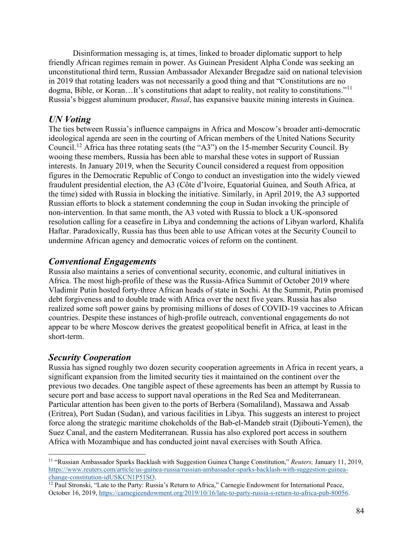Disinformation messaging is, at times, linked to broader diplomatic support to help friendly African regimes remain in power. As Guinean President Alpha Conde was seeking an unconstitutional third term, Russian Ambassador Alexander Bregadze said on national television in 2019 that rotating leaders was not necessarily a good thing and that "Constitutions are no dogma, Bible, or Koran...It's constitutions that adapt to reality, not reality to constitutions."<sup>[11](#page-4-0)</sup> Russia's biggest aluminum producer, *Rusal*, has expansive bauxite mining interests in Guinea.

#### *UN Voting*

The ties between Russia's influence campaigns in Africa and Moscow's broader anti-democratic ideological agenda are seen in the courting of African members of the United Nations Security Council.[12](#page-4-1) Africa has three rotating seats (the "A3") on the 15-member Security Council. By wooing these members, Russia has been able to marshal these votes in support of Russian interests. In January 2019, when the Security Council considered a request from opposition figures in the Democratic Republic of Congo to conduct an investigation into the widely viewed fraudulent presidential election, the A3 (Côte d'Ivoire, Equatorial Guinea, and South Africa, at the time) sided with Russia in blocking the initiative. Similarly, in April 2019, the A3 supported Russian efforts to block a statement condemning the coup in Sudan invoking the principle of non-intervention. In that same month, the A3 voted with Russia to block a UK-sponsored resolution calling for a ceasefire in Libya and condemning the actions of Libyan warlord, Khalifa Haftar. Paradoxically, Russia has thus been able to use African votes at the Security Council to undermine African agency and democratic voices of reform on the continent.

#### *Conventional Engagements*

Russia also maintains a series of conventional security, economic, and cultural initiatives in Africa. The most high-profile of these was the Russia-Africa Summit of October 2019 where Vladimir Putin hosted forty-three African heads of state in Sochi. At the Summit, Putin promised debt forgiveness and to double trade with Africa over the next five years. Russia has also realized some soft power gains by promising millions of doses of COVID-19 vaccines to African countries. Despite these instances of high-profile outreach, conventional engagements do not appear to be where Moscow derives the greatest geopolitical benefit in Africa, at least in the short-term.

#### *Security Cooperation*

Russia has signed roughly two dozen security cooperation agreements in Africa in recent years, a significant expansion from the limited security ties it maintained on the continent over the previous two decades. One tangible aspect of these agreements has been an attempt by Russia to secure port and base access to support naval operations in the Red Sea and Mediterranean. Particular attention has been given to the ports of Berbera (Somaliland), Massawa and Assab (Eritrea), Port Sudan (Sudan), and various facilities in Libya. This suggests an interest to project force along the strategic maritime chokeholds of the Bab-el-Mandeb strait (Djibouti-Yemen), the Suez Canal, and the eastern Mediterranean. Russia has also explored port access in southern Africa with Mozambique and has conducted joint naval exercises with South Africa.

<span id="page-4-0"></span><sup>11</sup> "Russian Ambassador Sparks Backlash with Suggestion Guinea Change Constitution," *Reuters,* January 11, 2019, [https://www.reuters.com/article/us-guinea-russia/russian-ambassador-sparks-backlash-with-suggestion-guinea-](https://www.reuters.com/article/us-guinea-russia/russian-ambassador-sparks-backlash-with-suggestion-guinea-change-constitution-idUSKCN1P51SO)

<span id="page-4-1"></span> $^{12}$  Paul Stronski, "Late to the Party: Russia's Return to Africa," Carnegie Endowment for International Peace, October 16, 2019[, https://carnegieendowment.org/2019/10/16/late-to-party-russia-s-return-to-africa-pub-80056.](https://carnegieendowment.org/2019/10/16/late-to-party-russia-s-return-to-africa-pub-80056)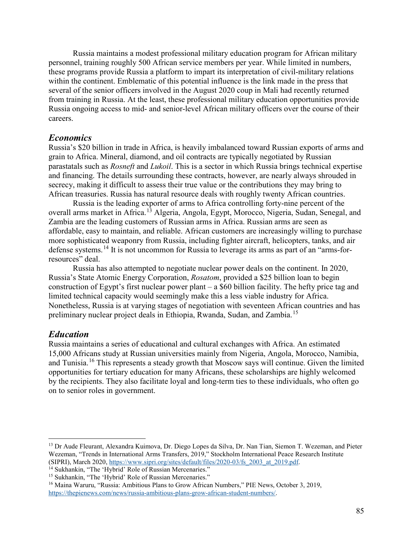Russia maintains a modest professional military education program for African military personnel, training roughly 500 African service members per year. While limited in numbers, these programs provide Russia a platform to impart its interpretation of civil-military relations within the continent. Emblematic of this potential influence is the link made in the press that several of the senior officers involved in the August 2020 coup in Mali had recently returned from training in Russia. At the least, these professional military education opportunities provide Russia ongoing access to mid- and senior-level African military officers over the course of their careers.

#### *Economics*

Russia's \$20 billion in trade in Africa, is heavily imbalanced toward Russian exports of arms and grain to Africa. Mineral, diamond, and oil contracts are typically negotiated by Russian parastatals such as *Rosneft* and *Lukoil*. This is a sector in which Russia brings technical expertise and financing. The details surrounding these contracts, however, are nearly always shrouded in secrecy, making it difficult to assess their true value or the contributions they may bring to African treasuries. Russia has natural resource deals with roughly twenty African countries.

Russia is the leading exporter of arms to Africa controlling forty-nine percent of the overall arms market in Africa.<sup>[13](#page-5-0)</sup> Algeria, Angola, Egypt, Morocco, Nigeria, Sudan, Senegal, and Zambia are the leading customers of Russian arms in Africa. Russian arms are seen as affordable, easy to maintain, and reliable. African customers are increasingly willing to purchase more sophisticated weaponry from Russia, including fighter aircraft, helicopters, tanks, and air defense systems.[14](#page-5-1) It is not uncommon for Russia to leverage its arms as part of an "arms-forresources" deal.

Russia has also attempted to negotiate nuclear power deals on the continent. In 2020, Russia's State Atomic Energy Corporation, *Rosatom*, provided a \$25 billion loan to begin construction of Egypt's first nuclear power plant – a \$60 billion facility. The hefty price tag and limited technical capacity would seemingly make this a less viable industry for Africa. Nonetheless, Russia is at varying stages of negotiation with seventeen African countries and has preliminary nuclear project deals in Ethiopia, Rwanda, Sudan, and Zambia.<sup>[15](#page-5-2)</sup>

#### *Education*

Russia maintains a series of educational and cultural exchanges with Africa. An estimated 15,000 Africans study at Russian universities mainly from Nigeria, Angola, Morocco, Namibia, and Tunisia.<sup>[16](#page-5-3)</sup> This represents a steady growth that Moscow says will continue. Given the limited opportunities for tertiary education for many Africans, these scholarships are highly welcomed by the recipients. They also facilitate loyal and long-term ties to these individuals, who often go on to senior roles in government.

<span id="page-5-0"></span><sup>&</sup>lt;sup>13</sup> Dr Aude Fleurant, Alexandra Kuimova, Dr. Diego Lopes da Silva, Dr. Nan Tian, Siemon T. Wezeman, and Pieter Wezeman, "Trends in International Arms Transfers, 2019," Stockholm International Peace Research Institute (SIPRI), March 2020, https://www.sipri.org/sites/default/files/2020-03/fs 2003 at 2019.pdf.

<span id="page-5-3"></span><span id="page-5-2"></span>

<span id="page-5-1"></span><sup>&</sup>lt;sup>14</sup> Sukhankin, "The 'Hybrid' Role of Russian Mercenaries."<br><sup>15</sup> Sukhankin, "The 'Hybrid' Role of Russian Mercenaries."<br><sup>16</sup> Maina Waruru, "Russia: Ambitious Plans to Grow African Numbers," PIE News, October 3, 2019, [https://thepienews.com/news/russia-ambitious-plans-grow-african-student-numbers/.](https://thepienews.com/news/russia-ambitious-plans-grow-african-student-numbers/)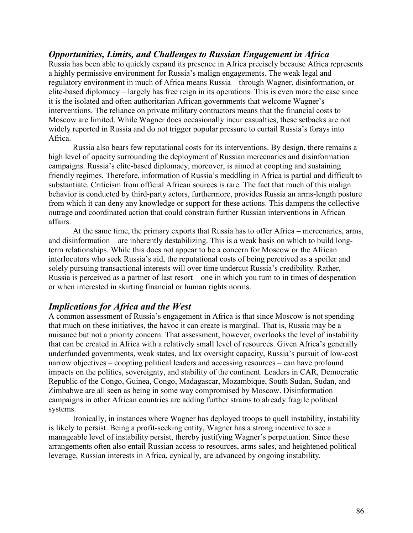#### *Opportunities, Limits, and Challenges to Russian Engagement in Africa*

Russia has been able to quickly expand its presence in Africa precisely because Africa represents a highly permissive environment for Russia's malign engagements. The weak legal and regulatory environment in much of Africa means Russia – through Wagner, disinformation, or elite-based diplomacy – largely has free reign in its operations. This is even more the case since it is the isolated and often authoritarian African governments that welcome Wagner's interventions. The reliance on private military contractors means that the financial costs to Moscow are limited. While Wagner does occasionally incur casualties, these setbacks are not widely reported in Russia and do not trigger popular pressure to curtail Russia's forays into Africa.

Russia also bears few reputational costs for its interventions. By design, there remains a high level of opacity surrounding the deployment of Russian mercenaries and disinformation campaigns. Russia's elite-based diplomacy, moreover, is aimed at coopting and sustaining friendly regimes. Therefore, information of Russia's meddling in Africa is partial and difficult to substantiate. Criticism from official African sources is rare. The fact that much of this malign behavior is conducted by third-party actors, furthermore, provides Russia an arms-length posture from which it can deny any knowledge or support for these actions. This dampens the collective outrage and coordinated action that could constrain further Russian interventions in African affairs.

At the same time, the primary exports that Russia has to offer Africa – mercenaries, arms, and disinformation – are inherently destabilizing. This is a weak basis on which to build longterm relationships. While this does not appear to be a concern for Moscow or the African interlocutors who seek Russia's aid, the reputational costs of being perceived as a spoiler and solely pursuing transactional interests will over time undercut Russia's credibility. Rather, Russia is perceived as a partner of last resort – one in which you turn to in times of desperation or when interested in skirting financial or human rights norms.

#### *Implications for Africa and the West*

A common assessment of Russia's engagement in Africa is that since Moscow is not spending that much on these initiatives, the havoc it can create is marginal. That is, Russia may be a nuisance but not a priority concern. That assessment, however, overlooks the level of instability that can be created in Africa with a relatively small level of resources. Given Africa's generally underfunded governments, weak states, and lax oversight capacity, Russia's pursuit of low-cost narrow objectives – coopting political leaders and accessing resources – can have profound impacts on the politics, sovereignty, and stability of the continent. Leaders in CAR, Democratic Republic of the Congo, Guinea, Congo, Madagascar, Mozambique, South Sudan, Sudan, and Zimbabwe are all seen as being in some way compromised by Moscow. Disinformation campaigns in other African countries are adding further strains to already fragile political systems.

Ironically, in instances where Wagner has deployed troops to quell instability, instability is likely to persist. Being a profit-seeking entity, Wagner has a strong incentive to see a manageable level of instability persist, thereby justifying Wagner's perpetuation. Since these arrangements often also entail Russian access to resources, arms sales, and heightened political leverage, Russian interests in Africa, cynically, are advanced by ongoing instability.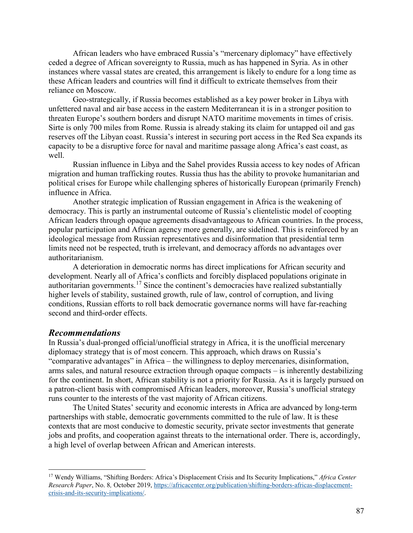African leaders who have embraced Russia's "mercenary diplomacy" have effectively ceded a degree of African sovereignty to Russia, much as has happened in Syria. As in other instances where vassal states are created, this arrangement is likely to endure for a long time as these African leaders and countries will find it difficult to extricate themselves from their reliance on Moscow.

Geo-strategically, if Russia becomes established as a key power broker in Libya with unfettered naval and air base access in the eastern Mediterranean it is in a stronger position to threaten Europe's southern borders and disrupt NATO maritime movements in times of crisis. Sirte is only 700 miles from Rome. Russia is already staking its claim for untapped oil and gas reserves off the Libyan coast. Russia's interest in securing port access in the Red Sea expands its capacity to be a disruptive force for naval and maritime passage along Africa's east coast, as well.

Russian influence in Libya and the Sahel provides Russia access to key nodes of African migration and human trafficking routes. Russia thus has the ability to provoke humanitarian and political crises for Europe while challenging spheres of historically European (primarily French) influence in Africa.

Another strategic implication of Russian engagement in Africa is the weakening of democracy. This is partly an instrumental outcome of Russia's clientelistic model of coopting African leaders through opaque agreements disadvantageous to African countries. In the process, popular participation and African agency more generally, are sidelined. This is reinforced by an ideological message from Russian representatives and disinformation that presidential term limits need not be respected, truth is irrelevant, and democracy affords no advantages over authoritarianism.

A deterioration in democratic norms has direct implications for African security and development. Nearly all of Africa's conflicts and forcibly displaced populations originate in authoritarian governments.<sup>[17](#page-7-0)</sup> Since the continent's democracies have realized substantially higher levels of stability, sustained growth, rule of law, control of corruption, and living conditions, Russian efforts to roll back democratic governance norms will have far-reaching second and third-order effects.

#### *Recommendations*

In Russia's dual-pronged official/unofficial strategy in Africa, it is the unofficial mercenary diplomacy strategy that is of most concern. This approach, which draws on Russia's "comparative advantages" in Africa – the willingness to deploy mercenaries, disinformation, arms sales, and natural resource extraction through opaque compacts – is inherently destabilizing for the continent. In short, African stability is not a priority for Russia. As it is largely pursued on a patron-client basis with compromised African leaders, moreover, Russia's unofficial strategy runs counter to the interests of the vast majority of African citizens.

The United States' security and economic interests in Africa are advanced by long-term partnerships with stable, democratic governments committed to the rule of law. It is these contexts that are most conducive to domestic security, private sector investments that generate jobs and profits, and cooperation against threats to the international order. There is, accordingly, a high level of overlap between African and American interests.

<span id="page-7-0"></span><sup>17</sup> Wendy Williams, "Shifting Borders: Africa's Displacement Crisis and Its Security Implications," *Africa Center Research Paper*, No. 8*,* October 2019, [https://africacenter.org/publication/shifting-borders-africas-displacement](https://africacenter.org/publication/shifting-borders-africas-displacement-crisis-and-its-security-implications/)[crisis-and-its-security-implications/.](https://africacenter.org/publication/shifting-borders-africas-displacement-crisis-and-its-security-implications/)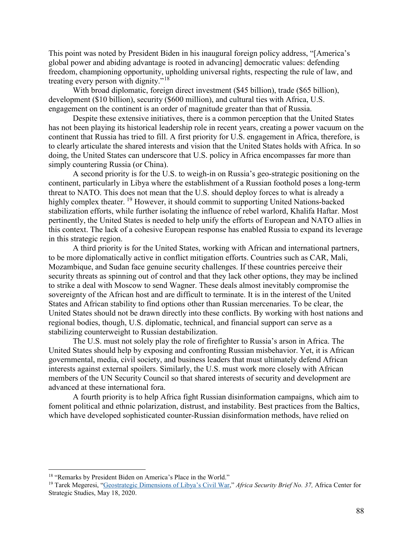This point was noted by President Biden in his inaugural foreign policy address, "[America's global power and abiding advantage is rooted in advancing] democratic values: defending freedom, championing opportunity, upholding universal rights, respecting the rule of law, and treating every person with dignity."<sup>[18](#page-8-0)</sup>

With broad diplomatic, foreign direct investment (\$45 billion), trade (\$65 billion), development (\$10 billion), security (\$600 million), and cultural ties with Africa, U.S. engagement on the continent is an order of magnitude greater than that of Russia.

Despite these extensive initiatives, there is a common perception that the United States has not been playing its historical leadership role in recent years, creating a power vacuum on the continent that Russia has tried to fill. A first priority for U.S. engagement in Africa, therefore, is to clearly articulate the shared interests and vision that the United States holds with Africa. In so doing, the United States can underscore that U.S. policy in Africa encompasses far more than simply countering Russia (or China).

A second priority is for the U.S. to weigh-in on Russia's geo-strategic positioning on the continent, particularly in Libya where the establishment of a Russian foothold poses a long-term threat to NATO. This does not mean that the U.S. should deploy forces to what is already a highly complex theater. <sup>[19](#page-8-1)</sup> However, it should commit to supporting United Nations-backed stabilization efforts, while further isolating the influence of rebel warlord, Khalifa Haftar. Most pertinently, the United States is needed to help unify the efforts of European and NATO allies in this context. The lack of a cohesive European response has enabled Russia to expand its leverage in this strategic region.

A third priority is for the United States, working with African and international partners, to be more diplomatically active in conflict mitigation efforts. Countries such as CAR, Mali, Mozambique, and Sudan face genuine security challenges. If these countries perceive their security threats as spinning out of control and that they lack other options, they may be inclined to strike a deal with Moscow to send Wagner. These deals almost inevitably compromise the sovereignty of the African host and are difficult to terminate. It is in the interest of the United States and African stability to find options other than Russian mercenaries. To be clear, the United States should not be drawn directly into these conflicts. By working with host nations and regional bodies, though, U.S. diplomatic, technical, and financial support can serve as a stabilizing counterweight to Russian destabilization.

The U.S. must not solely play the role of firefighter to Russia's arson in Africa. The United States should help by exposing and confronting Russian misbehavior. Yet, it is African governmental, media, civil society, and business leaders that must ultimately defend African interests against external spoilers. Similarly, the U.S. must work more closely with African members of the UN Security Council so that shared interests of security and development are advanced at these international fora.

A fourth priority is to help Africa fight Russian disinformation campaigns, which aim to foment political and ethnic polarization, distrust, and instability. Best practices from the Baltics, which have developed sophisticated counter-Russian disinformation methods, have relied on

<span id="page-8-0"></span><sup>&</sup>lt;sup>18</sup> "Remarks by President Biden on America's Place in the World."

<span id="page-8-1"></span><sup>19</sup> Tarek Megeresi, ["Geostrategic Dimensions of Libya's Civil War,"](https://africacenter.org/publication/geostrategic-dimensions-libya-civil-war/) *Africa Security Brief No. 37,* Africa Center for Strategic Studies, May 18, 2020.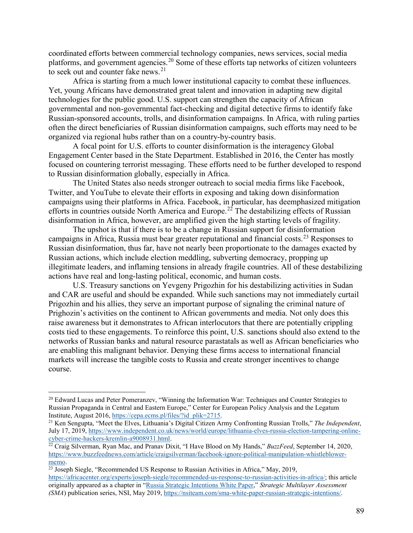coordinated efforts between commercial technology companies, news services, social media platforms, and government agencies.<sup>20</sup> Some of these efforts tap networks of citizen volunteers to seek out and counter fake news.<sup>[21](#page-9-1)</sup>

Africa is starting from a much lower institutional capacity to combat these influences. Yet, young Africans have demonstrated great talent and innovation in adapting new digital technologies for the public good. U.S. support can strengthen the capacity of African governmental and non-governmental fact-checking and digital detective firms to identify fake Russian-sponsored accounts, trolls, and disinformation campaigns. In Africa, with ruling parties often the direct beneficiaries of Russian disinformation campaigns, such efforts may need to be organized via regional hubs rather than on a country-by-country basis.

A focal point for U.S. efforts to counter disinformation is the interagency Global Engagement Center based in the State Department. Established in 2016, the Center has mostly focused on countering terrorist messaging. These efforts need to be further developed to respond to Russian disinformation globally, especially in Africa.

The United States also needs stronger outreach to social media firms like Facebook, Twitter, and YouTube to elevate their efforts in exposing and taking down disinformation campaigns using their platforms in Africa. Facebook, in particular, has deemphasized mitigation efforts in countries outside North America and Europe.<sup>[22](#page-9-2)</sup> The destabilizing effects of Russian disinformation in Africa, however, are amplified given the high starting levels of fragility.

The upshot is that if there is to be a change in Russian support for disinformation campaigns in Africa, Russia must bear greater reputational and financial costs.<sup>23</sup> Responses to Russian disinformation, thus far, have not nearly been proportionate to the damages exacted by Russian actions, which include election meddling, subverting democracy, propping up illegitimate leaders, and inflaming tensions in already fragile countries. All of these destabilizing actions have real and long-lasting political, economic, and human costs.

U.S. Treasury sanctions on Yevgeny Prigozhin for his destabilizing activities in Sudan and CAR are useful and should be expanded. While such sanctions may not immediately curtail Prigozhin and his allies, they serve an important purpose of signaling the criminal nature of Prighozin's activities on the continent to African governments and media. Not only does this raise awareness but it demonstrates to African interlocutors that there are potentially crippling costs tied to these engagements. To reinforce this point, U.S. sanctions should also extend to the networks of Russian banks and natural resource parastatals as well as African beneficiaries who are enabling this malignant behavior. Denying these firms access to international financial markets will increase the tangible costs to Russia and create stronger incentives to change course.

<span id="page-9-0"></span><sup>&</sup>lt;sup>20</sup> Edward Lucas and Peter Pomeranzev, "Winning the Information War: Techniques and Counter Strategies to Russian Propaganda in Central and Eastern Europe," Center for European Policy Analysis and the Legatum Institute, August 2016, [https://cepa.ecms.pl/files/?id\\_plik=2715.](https://cepa.ecms.pl/files/?id_plik=2715)<br><sup>21</sup> Ken Sengupta, "Meet the Elves, Lithuania's Digital Citizen Army Confronting Russian Trolls," *The Independent*,

<span id="page-9-1"></span>July 17, 2019, [https://www.independent.co.uk/news/world/europe/lithuania-elves-russia-election-tampering-online](https://www.independent.co.uk/news/world/europe/lithuania-elves-russia-election-tampering-online-cyber-crime-hackers-kremlin-a9008931.html)[cyber-crime-hackers-kremlin-a9008931.html.](https://www.independent.co.uk/news/world/europe/lithuania-elves-russia-election-tampering-online-cyber-crime-hackers-kremlin-a9008931.html) 22 Craig Silverman, Ryan Mac, and Pranav Dixit, "I Have Blood on My Hands," *BuzzFeed*, September 14, 2020,

<span id="page-9-2"></span>[https://www.buzzfeednews.com/article/craigsilverman/facebook-ignore-political-manipulation-whistleblower](https://www.buzzfeednews.com/article/craigsilverman/facebook-ignore-political-manipulation-whistleblower-memo)[memo.](https://www.buzzfeednews.com/article/craigsilverman/facebook-ignore-political-manipulation-whistleblower-memo)<br><sup>23</sup> Joseph Siegle, "Recommended US Response to Russian Activities in Africa," May, 2019,

<span id="page-9-3"></span>

[https://africacenter.org/experts/joseph-siegle/recommended-us-response-to-russian-activities-in-africa/;](https://africacenter.org/experts/joseph-siegle/recommended-us-response-to-russian-activities-in-africa/) this article originally appeared as a chapter in ["Russia Strategic Intentions White Paper,](https://nsiteam.com/sma-white-paper-russian-strategic-intentions/)" *Strategic Multilayer Assessment (SMA*) publication series, NSI, May 2019, [https://nsiteam.com/sma-white-paper-russian-strategic-intentions/.](https://nsiteam.com/sma-white-paper-russian-strategic-intentions/)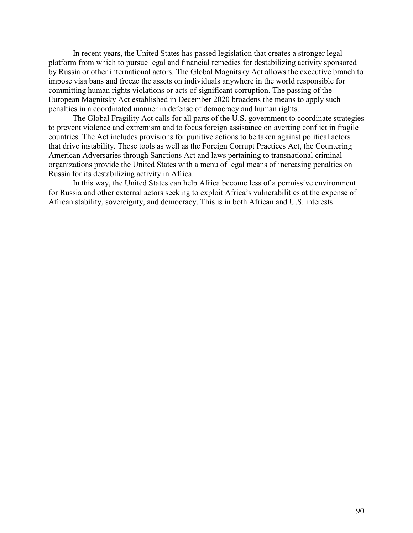In recent years, the United States has passed legislation that creates a stronger legal platform from which to pursue legal and financial remedies for destabilizing activity sponsored by Russia or other international actors. The Global Magnitsky Act allows the executive branch to impose visa bans and freeze the assets on individuals anywhere in the world responsible for committing human rights violations or acts of significant corruption. The passing of the European Magnitsky Act established in December 2020 broadens the means to apply such penalties in a coordinated manner in defense of democracy and human rights.

The Global Fragility Act calls for all parts of the U.S. government to coordinate strategies to prevent violence and extremism and to focus foreign assistance on averting conflict in fragile countries. The Act includes provisions for punitive actions to be taken against political actors that drive instability. These tools as well as the Foreign Corrupt Practices Act, the Countering American Adversaries through Sanctions Act and laws pertaining to transnational criminal organizations provide the United States with a menu of legal means of increasing penalties on Russia for its destabilizing activity in Africa.

In this way, the United States can help Africa become less of a permissive environment for Russia and other external actors seeking to exploit Africa's vulnerabilities at the expense of African stability, sovereignty, and democracy. This is in both African and U.S. interests.